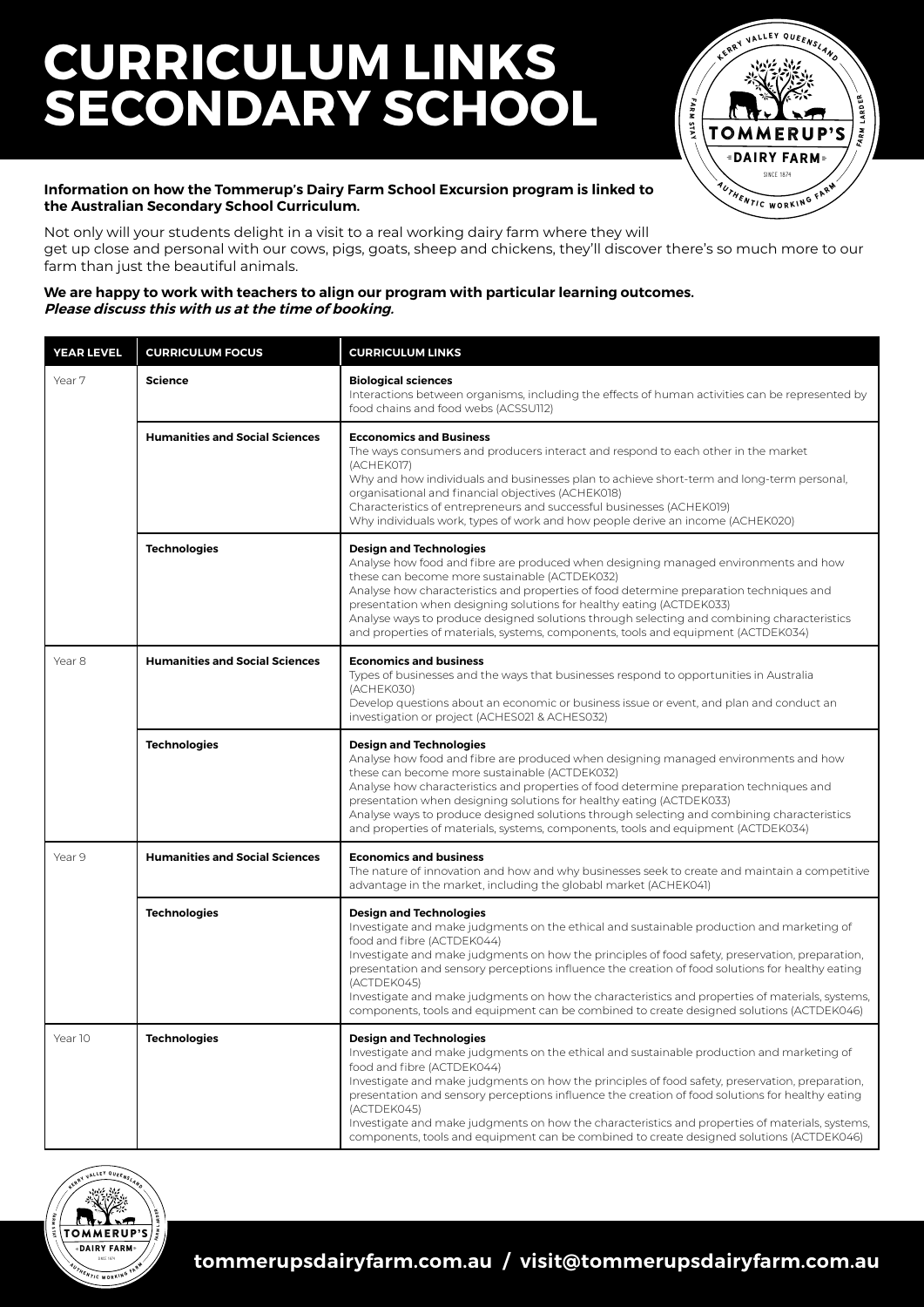# **CURRICULUM LINKS SECONDARY SCHOOL**



#### **Information on how the Tommerup's Dairy Farm School Excursion program is linked to the Australian Secondary School Curriculum.**

Not only will your students delight in a visit to a real working dairy farm where they will get up close and personal with our cows, pigs, goats, sheep and chickens, they'll discover there's so much more to our farm than just the beautiful animals.

#### **We are happy to work with teachers to align our program with particular learning outcomes. Please discuss this with us at the time of booking.**

| <b>YEAR LEVEL</b> | <b>CURRICULUM FOCUS</b>               | <b>CURRICULUM LINKS</b>                                                                                                                                                                                                                                                                                                                                                                                                                                                                                                                                                        |  |
|-------------------|---------------------------------------|--------------------------------------------------------------------------------------------------------------------------------------------------------------------------------------------------------------------------------------------------------------------------------------------------------------------------------------------------------------------------------------------------------------------------------------------------------------------------------------------------------------------------------------------------------------------------------|--|
| Year 7            | <b>Science</b>                        | <b>Biological sciences</b><br>Interactions between organisms, including the effects of human activities can be represented by<br>food chains and food webs (ACSSU112)                                                                                                                                                                                                                                                                                                                                                                                                          |  |
|                   | <b>Humanities and Social Sciences</b> | <b>Ecconomics and Business</b><br>The ways consumers and producers interact and respond to each other in the market<br>(ACHEK017)<br>Why and how individuals and businesses plan to achieve short-term and long-term personal,<br>organisational and financial objectives (ACHEK018)<br>Characteristics of entrepreneurs and successful businesses (ACHEK019)<br>Why individuals work, types of work and how people derive an income (ACHEK020)                                                                                                                                |  |
|                   | <b>Technologies</b>                   | <b>Design and Technologies</b><br>Analyse how food and fibre are produced when designing managed environments and how<br>these can become more sustainable (ACTDEK032)<br>Analyse how characteristics and properties of food determine preparation techniques and<br>presentation when designing solutions for healthy eating (ACTDEK033)<br>Analyse ways to produce designed solutions through selecting and combining characteristics<br>and properties of materials, systems, components, tools and equipment (ACTDEK034)                                                   |  |
| Year 8            | <b>Humanities and Social Sciences</b> | <b>Economics and business</b><br>Types of businesses and the ways that businesses respond to opportunities in Australia<br>(ACHEK030)<br>Develop questions about an economic or business issue or event, and plan and conduct an<br>investigation or project (ACHES021 & ACHES032)                                                                                                                                                                                                                                                                                             |  |
|                   | <b>Technologies</b>                   | <b>Design and Technologies</b><br>Analyse how food and fibre are produced when designing managed environments and how<br>these can become more sustainable (ACTDEK032)<br>Analyse how characteristics and properties of food determine preparation techniques and<br>presentation when designing solutions for healthy eating (ACTDEK033)<br>Analyse ways to produce designed solutions through selecting and combining characteristics<br>and properties of materials, systems, components, tools and equipment (ACTDEK034)                                                   |  |
| Year 9            | <b>Humanities and Social Sciences</b> | <b>Economics and business</b><br>The nature of innovation and how and why businesses seek to create and maintain a competitive<br>advantage in the market, including the globabl market (ACHEK041)                                                                                                                                                                                                                                                                                                                                                                             |  |
|                   | <b>Technologies</b>                   | <b>Design and Technologies</b><br>Investigate and make judgments on the ethical and sustainable production and marketing of<br>food and fibre (ACTDEK044)<br>Investigate and make judgments on how the principles of food safety, preservation, preparation,<br>presentation and sensory perceptions influence the creation of food solutions for healthy eating<br>(ACTDEK045)<br>Investigate and make judgments on how the characteristics and properties of materials, systems,<br>components, tools and equipment can be combined to create designed solutions (ACTDEK046) |  |
| Year 10           | <b>Technologies</b>                   | <b>Design and Technologies</b><br>Investigate and make judgments on the ethical and sustainable production and marketing of<br>food and fibre (ACTDEK044)<br>Investigate and make judgments on how the principles of food safety, preservation, preparation,<br>presentation and sensory perceptions influence the creation of food solutions for healthy eating<br>(ACTDEK045)<br>Investigate and make judgments on how the characteristics and properties of materials, systems,<br>components, tools and equipment can be combined to create designed solutions (ACTDEK046) |  |